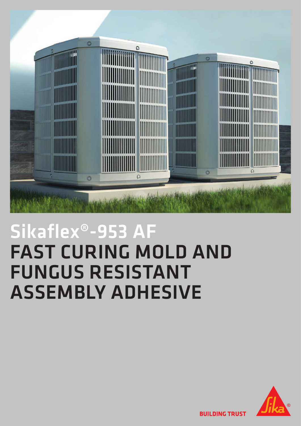

## Sikaflex®-953 AF FAST CURING MOLD AND FUNGUS RESISTANT ASSEMBLY ADHESIVE



**BUILDING TRUST**